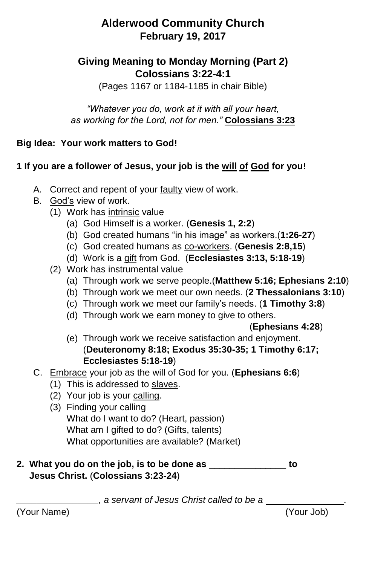# **Alderwood Community Church February 19, 2017**

### **Giving Meaning to Monday Morning (Part 2) Colossians 3:22-4:1**

(Pages 1167 or 1184-1185 in chair Bible)

*"Whatever you do, work at it with all your heart, as working for the Lord, not for men."* **Colossians 3:23**

#### **Big Idea: Your work matters to God!**

#### **1 If you are a follower of Jesus, your job is the will of God for you!**

- A. Correct and repent of your faulty view of work.
- B. God's view of work.
	- (1) Work has intrinsic value
		- (a) God Himself is a worker. (**Genesis 1, 2:2**)
		- (b) God created humans "in his image" as workers.(**1:26-27**)
		- (c) God created humans as co-workers. (**Genesis 2:8,15**)
		- (d) Work is a gift from God. (**Ecclesiastes 3:13, 5:18-19**)
	- (2) Work has instrumental value
		- (a) Through work we serve people.(**Matthew 5:16; Ephesians 2:10**)
		- (b) Through work we meet our own needs. (**2 Thessalonians 3:10**)
		- (c) Through work we meet our family's needs. (**1 Timothy 3:8**)
		- (d) Through work we earn money to give to others.
			- (**Ephesians 4:28**)
		- (e) Through work we receive satisfaction and enjoyment. (**Deuteronomy 8:18; Exodus 35:30-35; 1 Timothy 6:17; Ecclesiastes 5:18-19**)
- C. Embrace your job as the will of God for you. (**Ephesians 6:6**)
	- (1) This is addressed to slaves.
	- (2) Your job is your calling.
	- (3) Finding your calling What do I want to do? (Heart, passion) What am I gifted to do? (Gifts, talents) What opportunities are available? (Market)

#### **2. What you do on the job, is to be done as** \_\_\_\_\_\_\_\_\_\_\_\_\_\_\_ **to Jesus Christ.** (**Colossians 3:23-24**)

*\_\_\_\_\_\_\_\_\_\_\_\_\_\_\_\_, a servant of Jesus Christ called to be a* \_\_\_\_.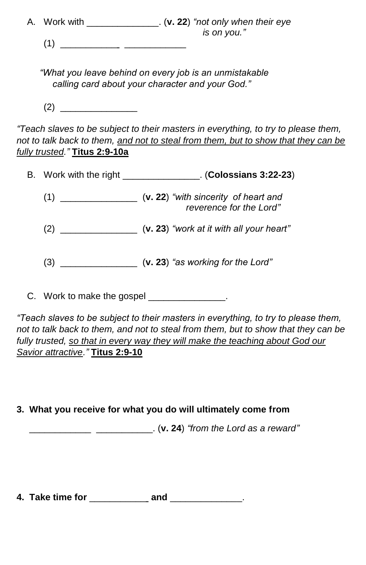A. Work with \_\_\_\_\_\_\_\_\_\_\_\_\_\_. (**v. 22**) *"not only when their eye is on you."* (1) \_\_\_\_\_\_\_\_\_\_\_ \_\_\_\_\_\_\_\_\_\_\_\_

 *"What you leave behind on every job is an unmistakable calling card about your character and your God."*

(2) \_\_\_\_\_\_\_\_\_\_\_\_\_\_\_

*"Teach slaves to be subject to their masters in everything, to try to please them, not to talk back to them, and not to steal from them, but to show that they can be fully trusted."* **Titus 2:9-10a**

|     | B. Work with the right ________________. (Colossians 3:22-23)                               |
|-----|---------------------------------------------------------------------------------------------|
|     | $(1)$ _____________________ (v. 22) "with sincerity of heart and<br>reverence for the Lord" |
|     | $(2)$ ____________________ (v. 23) "work at it with all your heart"                         |
| (3) | $(v. 23)$ "as working for the Lord"                                                         |
|     |                                                                                             |

C. Work to make the gospel

*"Teach slaves to be subject to their masters in everything, to try to please them, not to talk back to them, and not to steal from them, but to show that they can be fully trusted, so that in every way they will make the teaching about God our Savior attractive."* **Titus 2:9-10**

#### **3. What you receive for what you do will ultimately come from**

\_\_\_\_\_\_\_\_\_\_\_\_ \_\_\_\_\_\_\_\_\_\_\_. (**v. 24**) *"from the Lord as a reward"*

**4. Take time for** \_\_\_\_\_\_\_\_\_\_\_ **and** \_\_\_\_\_\_\_\_\_\_\_\_\_\_.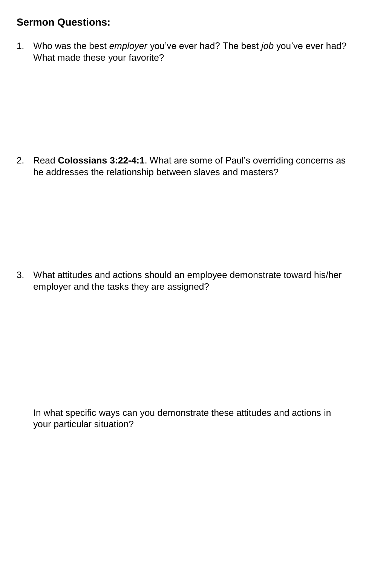## **Sermon Questions:**

1. Who was the best *employer* you've ever had? The best *job* you've ever had? What made these your favorite?

2. Read **Colossians 3:22-4:1**. What are some of Paul's overriding concerns as he addresses the relationship between slaves and masters?

3. What attitudes and actions should an employee demonstrate toward his/her employer and the tasks they are assigned?

In what specific ways can you demonstrate these attitudes and actions in your particular situation?